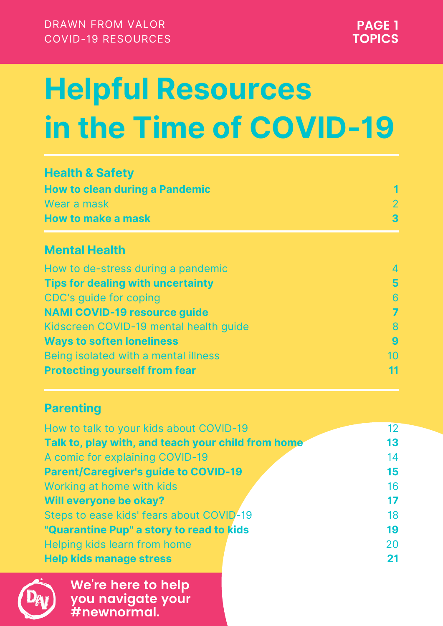| How to talk to your kids about COVID-19            | $12 \overline{ }$ |
|----------------------------------------------------|-------------------|
| Talk to, play with, and teach your child from home | 13                |
| A comic for explaining COVID-19                    | 14                |
| <b>Parent/Caregiver's guide to COVID-19</b>        | 15                |
| Working at home with kids                          | 16                |
| Will everyone be okay?                             | 17                |
| Steps to ease kids' fears about COVID-19           | 18                |
| "Quarantine Pup" a story to read to kids           | 19                |
| Helping kids learn from home                       | 20                |
| <b>Help kids manage stress</b>                     | 21                |



| How to de-stress during a pandemic       |                |
|------------------------------------------|----------------|
| <b>Tips for dealing with uncertainty</b> | $\overline{5}$ |
| CDC's quide for coping                   | 6              |
| <b>NAMI COVID-19 resource guide</b>      |                |
| Kidscreen COVID-19 mental health guide   |                |

| <b>Ways to soften loneliness</b>     |  |
|--------------------------------------|--|
| Being isolated with a mental illness |  |
| <b>Protecting yourself from fear</b> |  |

#### **Parenting**

#### **Mental Health**

#### **Health & Safety How to clean during a Pandemic** Wear a mask **How to make a mask 1** 2 **3**

DRAWN FROM VALOR COVID-19 RESOURCES

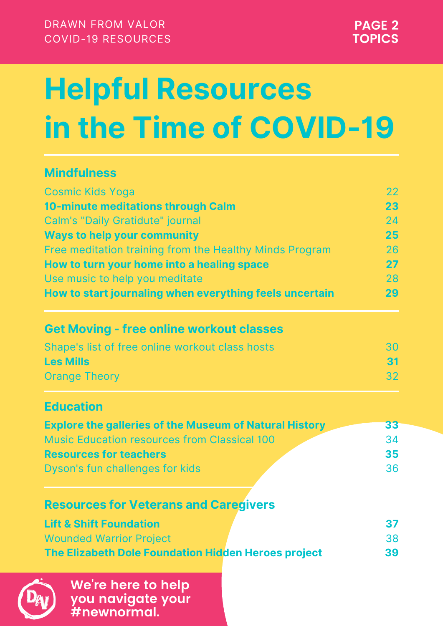#### **Mindfulness**

#### **Get Moving - free online workout classes**

#### **Education**

| <b>Explore the galleries of the Museum of Natural History</b> | 33 |
|---------------------------------------------------------------|----|
| <b>Music Education resources from Classical 100</b>           | 34 |
| <b>Resources for teachers</b>                                 | 35 |
| Dyson's fun challenges for kids                               | 36 |
|                                                               |    |
| <b>Resources for Veterans and Caregivers</b>                  |    |
| <b>Lift &amp; Shift Foundation</b>                            | 37 |
| <b>Wounded Warrior Project</b>                                | 38 |
| The Elizabeth Dole Foundation Hidden Heroes project           | 39 |



| <b>Cosmic Kids Yoga</b>                                 |    |
|---------------------------------------------------------|----|
| 10-minute meditations through Calm                      | 23 |
| <b>Calm's "Daily Gratidute" journal</b>                 | 24 |
| <b>Ways to help your community</b>                      | 25 |
| Free meditation training from the Healthy Minds Program | 26 |
| How to turn your home into a healing space              | 27 |
| Use music to help you meditate                          | 28 |
| How to start journaling when everything feels uncertain | 29 |

#### Shape's list of free online workout class hosts **Les Mills** Orange Theory 30 **31** 32

DRAWN FROM VALOR COVID-19 RESOURCES

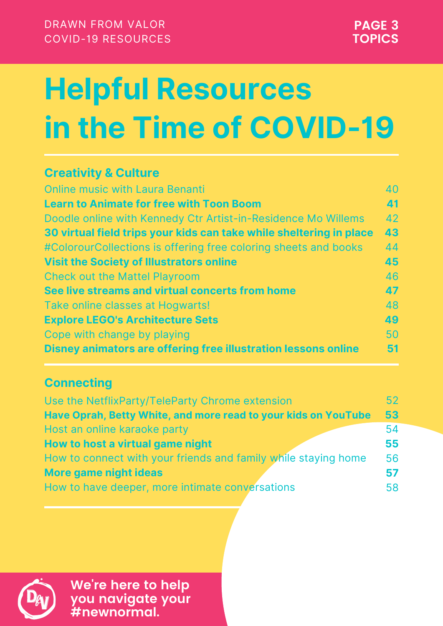#### **Creativity & Culture**

| <b>Online music with Laura Benanti</b>                              | 40              |
|---------------------------------------------------------------------|-----------------|
| <b>Learn to Animate for free with Toon Boom</b>                     | 41              |
| Doodle online with Kennedy Ctr Artist-in-Residence Mo Willems       | 42              |
| 30 virtual field trips your kids can take while sheltering in place | 43              |
| #ColorourCollections is offering free coloring sheets and books     | 44              |
| <b>Visit the Society of Illustrators online</b>                     | 45              |
| <b>Check out the Mattel Playroom</b>                                | 46              |
| See live streams and virtual concerts from home                     | 47              |
| Take online classes at Hogwarts!                                    | 48              |
| <b>Explore LEGO's Architecture Sets</b>                             | 49              |
| Cope with change by playing                                         | 50              |
| Disney animators are offering free illustration lessons online      |                 |
|                                                                     |                 |
| <b>Connecting</b>                                                   |                 |
| Use the NetflixParty/TeleParty Chrome extension                     | 52 <sub>2</sub> |
| Have Oprah, Betty White, and more read to your kids on YouTube      | 53              |
| Host an online karaoke party                                        | 54              |
| How to host a virtual game night                                    | 55              |
| How to connect with your friends and family while staying home      | 56              |
| More game night ideas                                               | 57              |
| How to have deeper, more intimate conversations                     | 58              |

How to have deeper, more intimate conversations



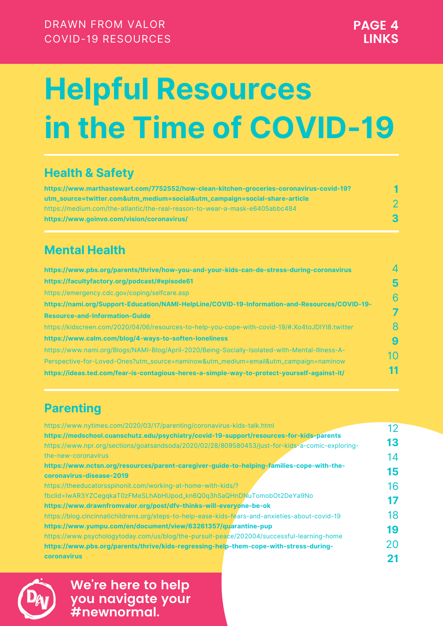| https://www.nytimes.com/2020/03/17/parenting/coronavirus-kids-talk.html                         | 12 |
|-------------------------------------------------------------------------------------------------|----|
| https://medschool.cuanschutz.edu/psychiatry/covid-19-support/resources-for-kids-parents         |    |
| https://www.npr.org/sections/goatsandsoda/2020/02/28/809580453/just-for-kids-a-comic-exploring- | 13 |
| the-new-coronavirus                                                                             | 14 |
| https://www.nctsn.org/resources/parent-caregiver-guide-to-helping-families-cope-with-the-       |    |
| coronavirus-disease-2019                                                                        | 15 |
| https://theeducatorsspinonit.com/working-at-home-with-kids/?                                    | 16 |
| fbclid=IwAR3YZCegqkaT0zFMeSLhAbHUpod_kn6Q0q3hSaQHnDNuTomobOt2DeYa9No                            |    |
| https://www.drawnfromvalor.org/post/dfv-thinks-will-everyone-be-ok                              |    |
| https://blog.cincinnatichildrens.org/steps-to-help-ease-kids-fears-and-anxieties-about-covid-19 | 18 |
| https://www.yumpu.com/en/document/view/63261357/quarantine-pup                                  | 19 |
| https://www.psychologytoday.com/us/blog/the-pursuit-peace/202004/successful-learning-home       |    |
| https://www.pbs.org/parents/thrive/kids-regressing-help-them-cope-with-stress-during-           | 20 |
| <b>coronavirus</b>                                                                              |    |



### **Health & Safety**

### **Parenting**

#### **Mental Health**

| https://www.marthastewart.com/7752552/how-clean-kitchen-groceries-coronavirus-covid-19? |              |
|-----------------------------------------------------------------------------------------|--------------|
| utm_source=twitter.com&utm_medium=social&utm_campaign=social-share-article              |              |
| https://medium.com/the-atlantic/the-real-reason-to-wear-a-mask-e6405abbc484             |              |
| https://www.goinvo.com/vision/coronavirus/                                              | $\mathbf{3}$ |

| https://www.pbs.org/parents/thrive/how-you-and-your-kids-can-de-stress-during-coronavirus       |   |
|-------------------------------------------------------------------------------------------------|---|
| https://facultyfactory.org/podcast/#episode61                                                   |   |
| https://emergency.cdc.gov/coping/selfcare.asp                                                   | 6 |
| https://nami.org/Support-Education/NAMI-HelpLine/COVID-19-Information-and-Resources/COVID-19-   |   |
| <b>Resource-and-Information-Guide</b>                                                           |   |
| https://kidscreen.com/2020/04/06/resources-to-help-you-cope-with-covid-19/#.Xo4toJDIYI8.twitter |   |

| https://www.calm.com/blog/4-ways-to-soften-loneliness                                          | $\left  9 \right $ |
|------------------------------------------------------------------------------------------------|--------------------|
| https://www.nami.org/Blogs/NAMI-Blog/April-2020/Being-Socially-Isolated-with-Mental-Illness-A- | 10                 |
| Perspective-for-Loved-Ones?utm_source=naminow&utm_medium=email&utm_campaign=naminow            |                    |
| https://ideas.ted.com/fear-is-contagious-heres-a-simple-way-to-protect-yourself-against-it/    | 11                 |

DRAWN FROM VALOR COVID-19 RESOURCES

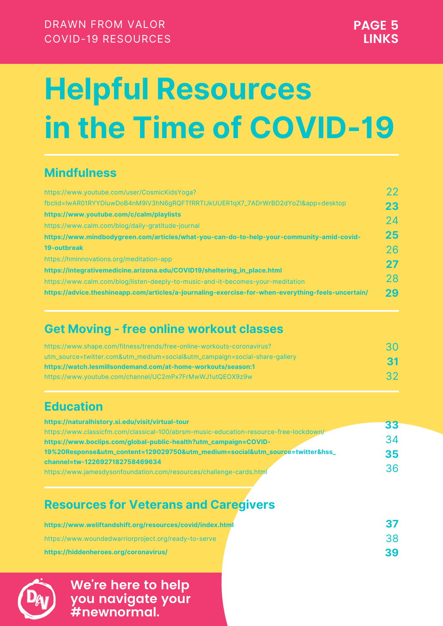#### **Mindfulness**

#### **Get Moving - free online workout classes**

#### **Resources for Veterans and Caregivers**

#### **Education**

| https://www.youtube.com/user/CosmicKidsYoga?                                                       | 22 |
|----------------------------------------------------------------------------------------------------|----|
| fbclid=IwAR01RYYDiuwDoB4nM9iV3hN6gRQFTfRRTIJkUUER1qX7_7ADrWrBD2dYoZI&app=desktop                   | 23 |
| https://www.youtube.com/c/calm/playlists                                                           | 24 |
| https://www.calm.com/blog/daily-gratitude-journal                                                  |    |
| https://www.mindbodygreen.com/articles/what-you-can-do-to-help-your-community-amid-covid-          | 25 |
| <b>19-outbreak</b>                                                                                 | 26 |
| https://hminnovations.org/meditation-app                                                           | 27 |
| https://integrativemedicine.arizona.edu/COVID19/sheltering_in_place.html                           |    |
| https://www.calm.com/blog/listen-deeply-to-music-and-it-becomes-your-meditation                    | 28 |
| https://advice.theshineapp.com/articles/a-journaling-exercise-for-when-everything-feels-uncertain/ | 29 |

| https://www.shape.com/fitness/trends/free-online-workouts-coronavirus?     | 30        |
|----------------------------------------------------------------------------|-----------|
| utm_source=twitter.com&utm_medium=social&utm_campaign=social-share-gallery | <b>31</b> |
| https://watch.lesmillsondemand.com/at-home-workouts/season:1               |           |
| https://www.youtube.com/channel/UC2mPx7FrMwWJ1utQEOX9z9w                   | 32        |

| https://www.weliftandshift.org/resources/covid/index.html |    |
|-----------------------------------------------------------|----|
| https://www.woundedwarriorproject.org/ready-to-serve      |    |
| https://hiddenheroes.org/coronavirus/                     | 39 |



| https://naturalhistory.si.edu/visit/virtual-tour                                      |    |
|---------------------------------------------------------------------------------------|----|
| https://www.classicfm.com/classical-100/abrsm-music-education-resource-free-lockdown/ | 33 |
| https://www.boclips.com/global-public-health?utm_campaign=COVID-                      | 34 |
| 19%20Response&utm_content=129029750&utm_medium=social&utm_source=twitter&hss_         | 35 |
| channel=tw-1226927182758469634                                                        |    |
| https://www.jamesdysonfoundation.com/resources/challenge-cards.html                   | 36 |

DRAWN FROM VALOR COVID-19 RESOURCES